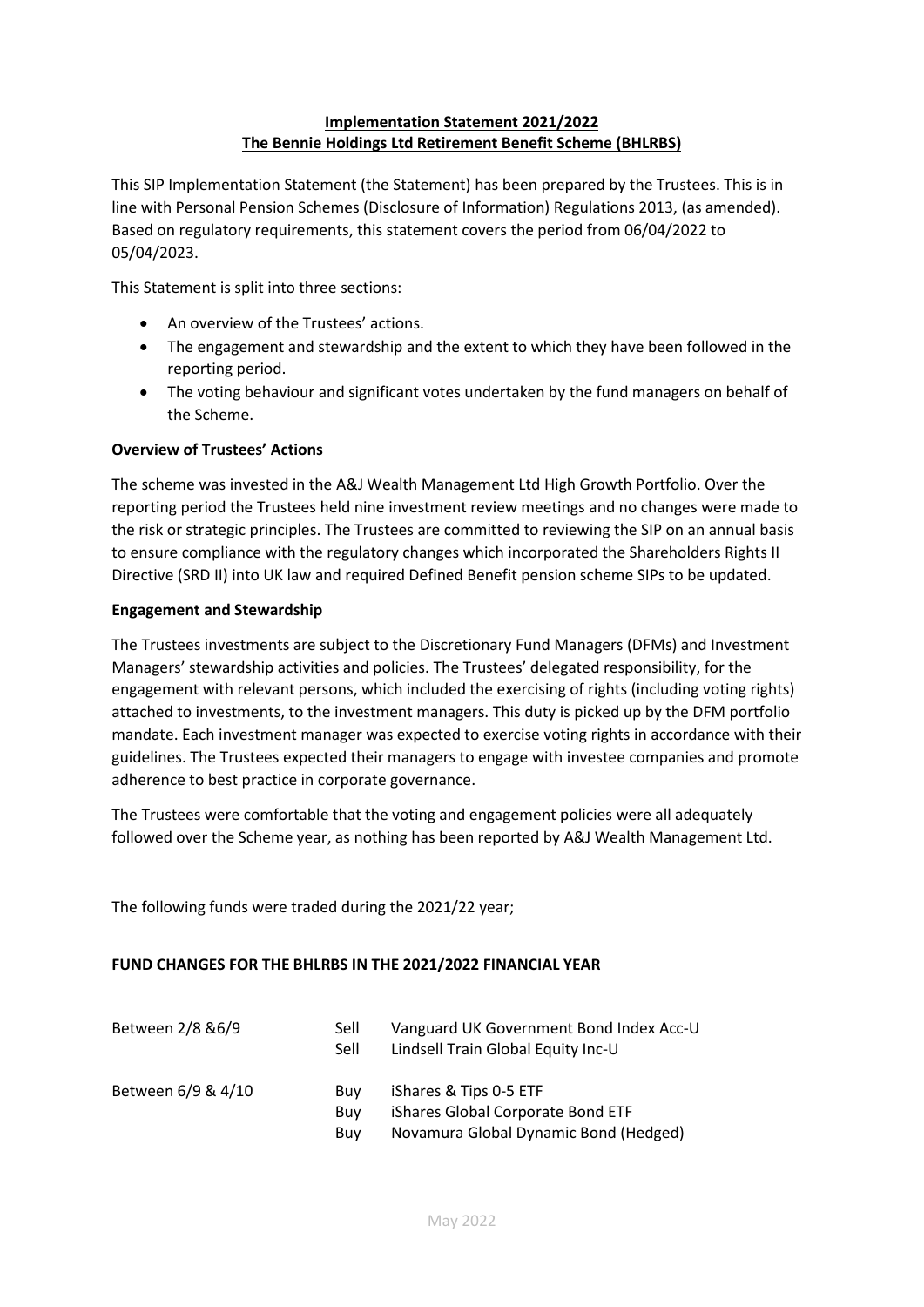## **Implementation Statement 2021/2022 The Bennie Holdings Ltd Retirement Benefit Scheme (BHLRBS)**

This SIP Implementation Statement (the Statement) has been prepared by the Trustees. This is in line with Personal Pension Schemes (Disclosure of Information) Regulations 2013, (as amended). Based on regulatory requirements, this statement covers the period from 06/04/2022 to 05/04/2023.

This Statement is split into three sections:

- An overview of the Trustees' actions.
- The engagement and stewardship and the extent to which they have been followed in the reporting period.
- The voting behaviour and significant votes undertaken by the fund managers on behalf of the Scheme.

### **Overview of Trustees' Actions**

The scheme was invested in the A&J Wealth Management Ltd High Growth Portfolio. Over the reporting period the Trustees held nine investment review meetings and no changes were made to the risk or strategic principles. The Trustees are committed to reviewing the SIP on an annual basis to ensure compliance with the regulatory changes which incorporated the Shareholders Rights II Directive (SRD II) into UK law and required Defined Benefit pension scheme SIPs to be updated.

#### **Engagement and Stewardship**

The Trustees investments are subject to the Discretionary Fund Managers (DFMs) and Investment Managers' stewardship activities and policies. The Trustees' delegated responsibility, for the engagement with relevant persons, which included the exercising of rights (including voting rights) attached to investments, to the investment managers. This duty is picked up by the DFM portfolio mandate. Each investment manager was expected to exercise voting rights in accordance with their guidelines. The Trustees expected their managers to engage with investee companies and promote adherence to best practice in corporate governance.

The Trustees were comfortable that the voting and engagement policies were all adequately followed over the Scheme year, as nothing has been reported by A&J Wealth Management Ltd.

The following funds were traded during the 2021/22 year;

#### **FUND CHANGES FOR THE BHLRBS IN THE 2021/2022 FINANCIAL YEAR**

| Between 2/8 & 6/9  | Sell<br>Sell      | Vanguard UK Government Bond Index Acc-U<br>Lindsell Train Global Equity Inc-U                        |
|--------------------|-------------------|------------------------------------------------------------------------------------------------------|
| Between 6/9 & 4/10 | Buv<br>Buv<br>Buv | iShares & Tips 0-5 ETF<br>iShares Global Corporate Bond ETF<br>Novamura Global Dynamic Bond (Hedged) |